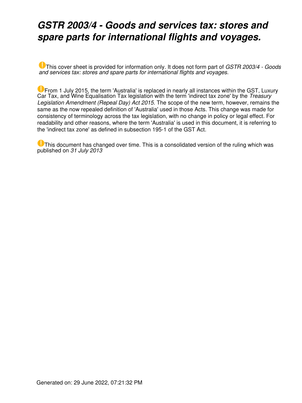## *GSTR 2003/4 - Goods and services tax: stores and spare parts for international flights and voyages.*

This cover sheet is provided for information only. It does not form part of *GSTR 2003/4 - Goods and services tax: stores and spare parts for international flights and voyages.*

**U** From 1 July 2015, the term 'Australia' is replaced in nearly all instances within the GST, Luxury Car Tax, and Wine Equalisation Tax legislation with the term 'indirect tax zone' by the *Treasury Legislation Amendment (Repeal Day) Act 2015*. The scope of the new term, however, remains the same as the now repealed definition of 'Australia' used in those Acts. This change was made for consistency of terminology across the tax legislation, with no change in policy or legal effect. For readability and other reasons, where the term 'Australia' is used in this document, it is referring to the 'indirect tax zone' as defined in subsection 195-1 of the GST Act.

**U** This document has changed over time. This is a consolidated version of the ruling which was published on *31 July 2013*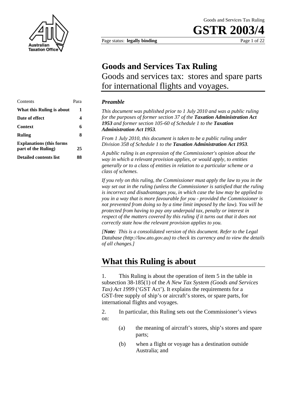

Page status: **legally binding** Page 1 of 22

## **Goods and Services Tax Ruling** Goods and services tax: stores and spare parts for international flights and voyages.

### **Preamble**

This document was published prior to 1 *July 2010 and was a public ruling for the purposes of former section 37 of the Taxation Administration Act*  1953 and former section 105-60 of Schedule 1 to the **Taxation** 

*From 1 July 2010, this document is taken to be a public ruling under Division 358 of Schedule 1 to the Taxation Administration Act 1953.* 

**part of the Ruling) 25** *A public ruling is an expression of the Commissioner's opinion about the way in which a relevant provision applies, or would apply, to entities generally or to a class of entities in relation to a particular scheme or a class of schemes.* 

*If you rely on this ruling, the Commissioner must apply the law to you in the way set out in the ruling (unless the Commissioner is satisfied that the ruling is incorrect and disadvantages you, in which case the law may be applied to you in a way that is more favourable for you - provided the Commissioner is not prevented from doing so by a time limit imposed by the law). You will be protected from having to pay any underpaid tax, penalty or interest in respect of the matters covered by this ruling if it turns out that it does not correctly state how the relevant provision applies to you.*

*[Note: This is a consolidated version of this document. Refer to the Legal Database (http://law.ato.gov.au) to check its currency and to view the details of all changes.]* 

### **What this Ruling is about**

1. This Ruling is about the operation of item 5 in the table in subsection 38-185(1) of the *A New Tax System (Goods and Services Tax) Act 1999* ('GST Act'). It explains the requirements for a GST-free supply of ship's or aircraft's stores, or spare parts, for international flights and voyages.

2. In particular, this Ruling sets out the Commissioner's views on:

- (a) the meaning of aircraft's stores, ship's stores and spare parts;
- (b) when a flight or voyage has a destination outside Australia; and

| Contents                                              | Para | <b>Preamble</b>                                              |
|-------------------------------------------------------|------|--------------------------------------------------------------|
| What this Ruling is about                             | 1    | This document was publish                                    |
| Date of effect                                        | 4    | for the purposes of former                                   |
| <b>Context</b>                                        | 6    | 1953 and former section 1<br><b>Administration Act 1953.</b> |
| <b>Ruling</b>                                         | 8    | From 1 July 2010, this doc                                   |
| <b>Explanations</b> (this forms<br>part of the Ruling | 25   | Division 358 of Schedule 1                                   |
| <b>Detailed contents list</b>                         | 88   | A public ruling is an expre<br>way in which a relevant pr    |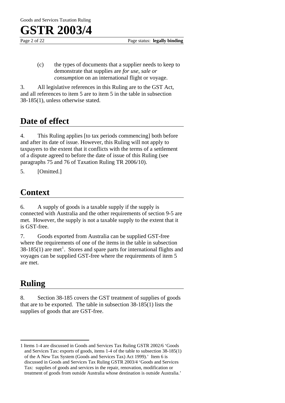

Page 2 of 22 Page status: **legally binding** 

(c) the types of documents that a supplier needs to keep to demonstrate that supplies are *for use, sale or consumption* on an international flight or voyage.

3. All legislative references in this Ruling are to the GST Act, and all references to item 5 are to item 5 in the table in subsection 38-185(1), unless otherwise stated.

## **Date of effect**

4. This Ruling applies [to tax periods commencing] both before and after its date of issue. However, this Ruling will not apply to taxpayers to the extent that it conflicts with the terms of a settlement of a dispute agreed to before the date of issue of this Ruling (see paragraphs 75 and 76 of Taxation Ruling TR 2006/10).

5. [Omitted.]

## **Context**

6. A supply of goods is a taxable supply if the supply is connected with Australia and the other requirements of section 9-5 are met. However, the supply is not a taxable supply to the extent that it is GST-free.

7. Goods exported from Australia can be supplied GST-free where the requirements of one of the items in the table in subsection  $38-185(1)$  are met<sup>1</sup>. Stores and spare parts for international flights and voyages can be supplied GST-free where the requirements of item 5 are met.

## **Ruling**

8. Section 38-185 covers the GST treatment of supplies of goods that are to be exported. The table in subsection 38-185(1) lists the supplies of goods that are GST-free.

 $\overline{a}$ 1 Items 1-4 are discussed in Goods and Services Tax Ruling GSTR 2002/6 'Goods and Services Tax: exports of goods, items 1-4 of the table to subsection 38-185(1) of the A New Tax System (Goods and Services Tax) Act 1999).' Item 6 is discussed in Goods and Services Tax Ruling GSTR 2003/4 'Goods and Services Tax: supplies of goods and services in the repair, renovation, modification or treatment of goods from outside Australia whose destination is outside Australia.'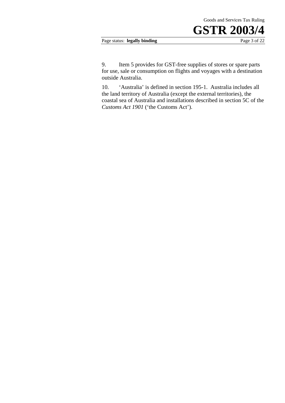#### Page status: **legally binding** Page 3 of 22

9. Item 5 provides for GST-free supplies of stores or spare parts for use, sale or consumption on flights and voyages with a destination outside Australia.

10. 'Australia' is defined in section 195-1. Australia includes all the land territory of Australia (except the external territories), the coastal sea of Australia and installations described in section 5C of the *Customs Act 1901* ('the Customs Act').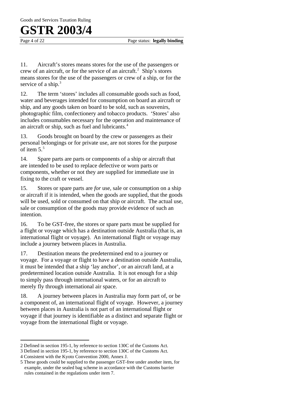Page 4 of 22 Page status: **legally binding** 

11. Aircraft's stores means stores for the use of the passengers or crew of an aircraft, or for the service of an aircraft.<sup>2</sup> Ship's stores means stores for the use of the passengers or crew of a ship, or for the service of a ship.<sup>3</sup>

12. The term 'stores' includes all consumable goods such as food, water and beverages intended for consumption on board an aircraft or ship, and any goods taken on board to be sold, such as souvenirs, photographic film, confectionery and tobacco products. 'Stores' also includes consumables necessary for the operation and maintenance of an aircraft or ship, such as fuel and lubricants.<sup>4</sup>

13. Goods brought on board by the crew or passengers as their personal belongings or for private use, are not stores for the purpose of item  $5<sup>5</sup>$ 

14. Spare parts are parts or components of a ship or aircraft that are intended to be used to replace defective or worn parts or components, whether or not they are supplied for immediate use in fixing to the craft or vessel.

15. Stores or spare parts are *for* use, sale or consumption on a ship or aircraft if it is intended, when the goods are supplied, that the goods will be used, sold or consumed on that ship or aircraft. The actual use, sale or consumption of the goods may provide evidence of such an intention.

16. To be GST-free, the stores or spare parts must be supplied for a flight or voyage which has a destination outside Australia (that is, an international flight or voyage). An international flight or voyage may include a journey between places in Australia.

17. Destination means the predetermined end to a journey or voyage. For a voyage or flight to have a destination outside Australia, it must be intended that a ship 'lay anchor', or an aircraft land, at a predetermined location outside Australia. It is not enough for a ship to simply pass through international waters, or for an aircraft to merely fly through international air space.

18. A journey between places in Australia may form part of, or be a component of, an international flight of voyage. However, a journey between places in Australia is not part of an international flight or voyage if that journey is identifiable as a distinct and separate flight or voyage from the international flight or voyage.

 $\overline{a}$ 2 Defined in section 195-1, by reference to section 130C of the Customs Act.

<sup>3</sup> Defined in section 195-1, by reference to section 130C of the Customs Act.

<sup>4</sup> Consistent with the Kyoto Convention 2000, Annex J.

<sup>5</sup> These goods could be supplied to the passenger GST-free under another item, for example, under the sealed bag scheme in accordance with the Customs barrier rules contained in the regulations under item 7.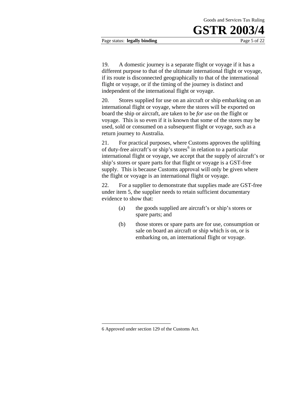Page status: **legally binding** Page 5 of 22

19. A domestic journey is a separate flight or voyage if it has a different purpose to that of the ultimate international flight or voyage, if its route is disconnected geographically to that of the international flight or voyage, or if the timing of the journey is distinct and independent of the international flight or voyage.

20. Stores supplied for use on an aircraft or ship embarking on an international flight or voyage, where the stores will be exported on board the ship or aircraft, are taken to be *for use* on the flight or voyage. This is so even if it is known that some of the stores may be used, sold or consumed on a subsequent flight or voyage, such as a return journey to Australia.

21. For practical purposes, where Customs approves the uplifting of duty-free aircraft's or ship's stores<sup>6</sup> in relation to a particular international flight or voyage, we accept that the supply of aircraft's or ship's stores or spare parts for that flight or voyage is a GST-free supply. This is because Customs approval will only be given where the flight or voyage is an international flight or voyage.

22. For a supplier to demonstrate that supplies made are GST-free under item 5, the supplier needs to retain sufficient documentary evidence to show that:

- (a) the goods supplied are aircraft's or ship's stores or spare parts; and
- (b) those stores or spare parts are for use, consumption or sale on board an aircraft or ship which is on, or is embarking on, an international flight or voyage.

1

<sup>6</sup> Approved under section 129 of the Customs Act.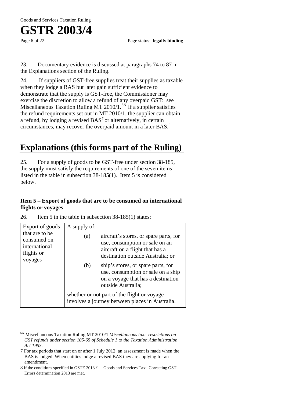$\overline{a}$ 

Page 6 of 22 **Page status: legally binding** 

23. Documentary evidence is discussed at paragraphs 74 to 87 in the Explanations section of the Ruling.

24. If suppliers of GST-free supplies treat their supplies as taxable when they lodge a BAS but later gain sufficient evidence to demonstrate that the supply is GST-free, the Commissioner may exercise the discretion to allow a refund of any overpaid GST: see Miscellaneous Taxation Ruling MT 2010/1. $^{64}$  If a supplier satisfies the refund requirements set out in MT 2010/1, the supplier can obtain a refund, by lodging a revised  $BAS<sup>7</sup>$  or alternatively, in certain circumstances, may recover the overpaid amount in a later BAS. $8$ 

## **Explanations (this forms part of the Ruling)**

25. For a supply of goods to be GST-free under section 38-185, the supply must satisfy the requirements of one of the seven items listed in the table in subsection 38-185(1). Item 5 is considered below.

### **Item 5 – Export of goods that are to be consumed on international flights or voyages**

| 26. |  |  | Item 5 in the table in subsection $38-185(1)$ states: |  |  |
|-----|--|--|-------------------------------------------------------|--|--|
|     |  |  |                                                       |  |  |

| Export of goods                                                         | A supply of:                                                                                   |                                                                                                                                                  |  |  |  |
|-------------------------------------------------------------------------|------------------------------------------------------------------------------------------------|--------------------------------------------------------------------------------------------------------------------------------------------------|--|--|--|
| that are to be<br>consumed on<br>international<br>flights or<br>voyages | (a)                                                                                            | aircraft's stores, or spare parts, for<br>use, consumption or sale on an<br>aircraft on a flight that has a<br>destination outside Australia; or |  |  |  |
|                                                                         | (b)                                                                                            | ship's stores, or spare parts, for<br>use, consumption or sale on a ship<br>on a voyage that has a destination<br>outside Australia;             |  |  |  |
|                                                                         | whether or not part of the flight or voyage<br>involves a journey between places in Australia. |                                                                                                                                                  |  |  |  |

<sup>6</sup>A Miscellaneous Taxation Ruling MT 2010/1 *Miscellaneous tax: restrictions on GST refunds under section 105-65 of Schedule 1 to the Taxation Administration Act 1953*.

<sup>7</sup> For tax periods that start on or after 1 July 2012 an assessment is made when the BAS is lodged. When entities lodge a revised BAS they are applying for an amendment.

<sup>8</sup> If the conditions specified in GSTE 2013 /1 – Goods and Services Tax: Correcting GST Errors determination 2013 are met.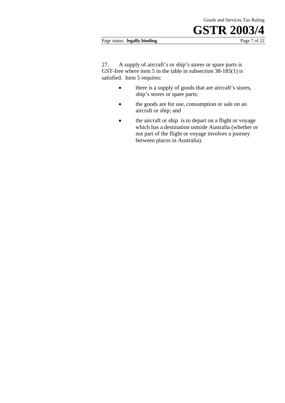#### Page status: **legally binding** Page 7 of 22

27. A supply of aircraft's or ship's stores or spare parts is GST-free where item 5 in the table in subsection 38-185(1) is satisfied. Item 5 requires:

- there is a supply of goods that are aircraft's stores, ship's stores or spare parts;
- the goods are for use, consumption or sale on an aircraft or ship; and
- the aircraft or ship is to depart on a flight or voyage which has a destination outside Australia (whether or not part of the flight or voyage involves a journey between places in Australia).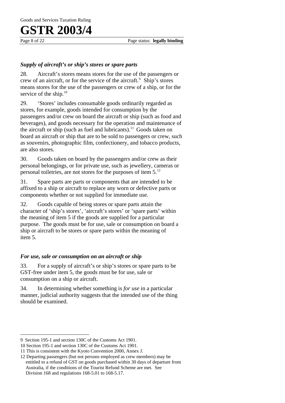Page 8 of 22 **Page status: legally binding** 

### *Supply of aircraft's or ship's stores or spare parts*

28. Aircraft's stores means stores for the use of the passengers or crew of an aircraft, or for the service of the aircraft.<sup>9</sup> Ship's stores means stores for the use of the passengers or crew of a ship, or for the service of the ship.<sup>10</sup>

29. 'Stores' includes consumable goods ordinarily regarded as stores, for example, goods intended for consumption by the passengers and/or crew on board the aircraft or ship (such as food and beverages), and goods necessary for the operation and maintenance of the aircraft or ship (such as fuel and lubricants).<sup>11</sup> Goods taken on board an aircraft or ship that are to be sold to passengers or crew, such as souvenirs, photographic film, confectionery, and tobacco products, are also stores.

30. Goods taken on board by the passengers and/or crew as their personal belongings, or for private use, such as jewellery, cameras or personal toiletries, are not stores for the purposes of item 5.12

31. Spare parts are parts or components that are intended to be affixed to a ship or aircraft to replace any worn or defective parts or components whether or not supplied for immediate use.

32. Goods capable of being stores or spare parts attain the character of 'ship's stores', 'aircraft's stores' or 'spare parts' within the meaning of item 5 if the goods are supplied for a particular purpose. The goods must be for use, sale or consumption on board a ship or aircraft to be stores or spare parts within the meaning of item 5.

### *For use, sale or consumption on an aircraft or ship*

33. For a supply of aircraft's or ship's stores or spare parts to be GST-free under item 5, the goods must be for use, sale or consumption on a ship or aircraft.

34. In determining whether something is *for use* in a particular manner, judicial authority suggests that the intended use of the thing should be examined.

 $\overline{a}$ 9 Section 195-1 and section 130C of the Customs Act 1901.

<sup>10</sup> Section 195-1 and section 130C of the Customs Act 1901.

<sup>11</sup> This is consistent with the Kyoto Convention 2000, Annex J.

<sup>12</sup> Departing passengers (but not persons employed as crew members) may be entitled to a refund of GST on goods purchased within 30 days of departure from Australia, if the conditions of the Tourist Refund Scheme are met. See Division 168 and regulations 168-5.01 to 168-5.17.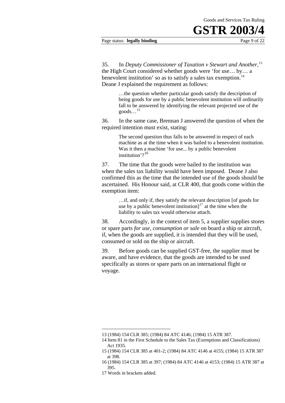#### Page status: **legally binding** Page 9 of 22

35. In *Deputy Commissioner of Taxation v Stewart and Another,*<sup>13</sup> the High Court considered whether goods were 'for use… by… a benevolent institution' so as to satisfy a sales tax exemption.<sup>14</sup> Deane J explained the requirement as follows:

> …the question whether particular goods satisfy the description of being goods for use by a public benevolent institution will ordinarily fall to be answered by identifying the relevant projected use of the  $\text{goods} \dots$ <sup>15</sup>

36. In the same case, Brennan J answered the question of when the required intention must exist, stating:

> The second question thus falls to be answered in respect of each machine as at the time when it was bailed to a benevolent institution. Was it then a machine 'for use... by a public benevolent institution'? $16$

37. The time that the goods were bailed to the institution was when the sales tax liability would have been imposed. Deane J also confirmed this as the time that the intended use of the goods should be ascertained. His Honour said, at CLR 400, that goods come within the exemption item:

> liability to sales tax would otherwise attach. …if, and only if, they satisfy the relevant description [of goods for use by a public benevolent institution] $17$  at the time when the

38. Accordingly, in the context of item 5, a supplier supplies stores or spare parts *for use, consumption or sale* on board a ship or aircraft, if, when the goods are supplied, it is intended that they will be used, consumed or sold on the ship or aircraft.

39. Before goods can be supplied GST-free, the supplier must be aware, and have evidence, that the goods are intended to be used specifically as stores or spare parts on an international flight or voyage.

1

<sup>13 (1984) 154</sup> CLR 385; (1984) 84 ATC 4146; (1984) 15 ATR 387.

<sup>14</sup> Item 81 in the First Schedule to the Sales Tax (Exemptions and Classifications) Act 1935.

<sup>15 (1984) 154</sup> CLR 385 at 401-2; (1984) 84 ATC 4146 at 4155; (1984) 15 ATR 387 at 398.

<sup>16 (1984) 154</sup> CLR 385 at 397; (1984) 84 ATC 4146 at 4153; (1984) 15 ATR 387 at 395.

<sup>17</sup> Words in brackets added.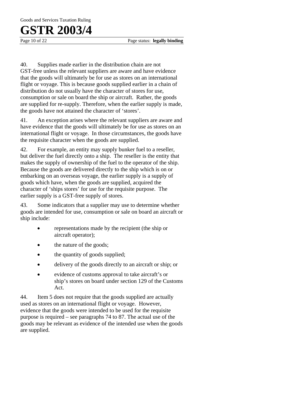Page 10 of 22 **Page status: legally binding** 

40. Supplies made earlier in the distribution chain are not GST-free unless the relevant suppliers are aware and have evidence that the goods will ultimately be for use as stores on an international flight or voyage. This is because goods supplied earlier in a chain of distribution do not usually have the character of stores for use, consumption or sale on board the ship or aircraft. Rather, the goods are supplied for re-supply. Therefore, when the earlier supply is made, the goods have not attained the character of 'stores'.

41. An exception arises where the relevant suppliers are aware and have evidence that the goods will ultimately be for use as stores on an international flight or voyage. In those circumstances, the goods have the requisite character when the goods are supplied.

42. For example, an entity may supply bunker fuel to a reseller, but deliver the fuel directly onto a ship. The reseller is the entity that makes the supply of ownership of the fuel to the operator of the ship. Because the goods are delivered directly to the ship which is on or embarking on an overseas voyage, the earlier supply is a supply of goods which have, when the goods are supplied, acquired the character of 'ships stores' for use for the requisite purpose. The earlier supply is a GST-free supply of stores.

43. Some indicators that a supplier may use to determine whether goods are intended for use, consumption or sale on board an aircraft or ship include:

- representations made by the recipient (the ship or aircraft operator);
- the nature of the goods;
- the quantity of goods supplied;
- delivery of the goods directly to an aircraft or ship; or
- evidence of customs approval to take aircraft's or ship's stores on board under section 129 of the Customs Act.

44. Item 5 does not require that the goods supplied are actually used as stores on an international flight or voyage. However, evidence that the goods were intended to be used for the requisite purpose is required – see paragraphs 74 to 87. The actual use of the goods may be relevant as evidence of the intended use when the goods are supplied.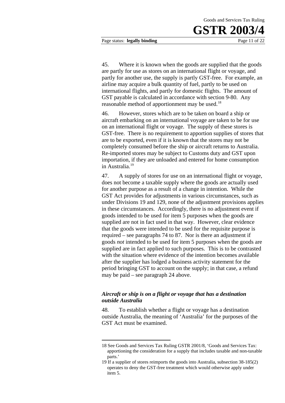Page status: **legally binding** Page 11 of 22

45. Where it is known when the goods are supplied that the goods are partly for use as stores on an international flight or voyage, and partly for another use, the supply is partly GST-free. For example, an airline may acquire a bulk quantity of fuel, partly to be used on international flights, and partly for domestic flights. The amount of GST payable is calculated in accordance with section 9-80. Any reasonable method of apportionment may be used.<sup>18</sup>

46. However, stores which are to be taken on board a ship or aircraft embarking on an international voyage are taken to be for use on an international flight or voyage. The supply of these stores is GST-free. There is no requirement to apportion supplies of stores that are to be exported, even if it is known that the stores may not be completely consumed before the ship or aircraft returns to Australia. Re-imported stores may be subject to Customs duty and GST upon importation, if they are unloaded and entered for home consumption in Australia.19

47. A supply of stores for use on an international flight or voyage, does not become a taxable supply where the goods are actually used for another purpose as a result of a change in intention. While the GST Act provides for adjustments in various circumstances, such as under Divisions 19 and 129, none of the adjustment provisions applies in these circumstances. Accordingly, there is no adjustment event if goods intended to be used for item 5 purposes when the goods are supplied are not in fact used in that way. However, clear evidence that the goods were intended to be used for the requisite purpose is required – see paragraphs 74 to 87. Nor is there an adjustment if goods *not* intended to be used for item 5 purposes when the goods are supplied are in fact applied to such purposes. This is to be contrasted with the situation where evidence of the intention becomes available after the supplier has lodged a business activity statement for the period bringing GST to account on the supply; in that case, a refund may be paid – see paragraph 24 above.

### *Aircraft or ship is on a flight or voyage that has a destination outside Australia*

1

48. To establish whether a flight or voyage has a destination outside Australia, the meaning of 'Australia' for the purposes of the GST Act must be examined.

<sup>18</sup> See Goods and Services Tax Ruling GSTR 2001/8, 'Goods and Services Tax: apportioning the consideration for a supply that includes taxable and non-taxable parts.'

<sup>19</sup> If a supplier of stores reimports the goods into Australia, subsection 38-185(2) operates to deny the GST-free treatment which would otherwise apply under item 5.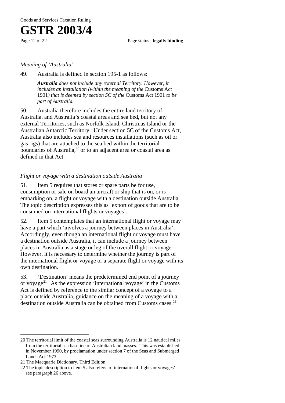Page 12 of 22 Page status: **legally binding** 

### *Meaning of 'Australia'*

49. Australia is defined in section 195-1 as follows:

*Australia does not include any external Territory. However, it includes an installation (within the meaning of the Customs Act* 1901*) that is deemed by section 5C of the* Customs Act 1901 *to be part of Australia.* 

50. Australia therefore includes the entire land territory of Australia, and Australia's coastal areas and sea bed, but not any external Territories, such as Norfolk Island, Christmas Island or the Australian Antarctic Territory. Under section 5C of the Customs Act, Australia also includes sea and resources installations (such as oil or gas rigs) that are attached to the sea bed within the territorial boundaries of Australia,<sup>20</sup> or to an adjacent area or coastal area as defined in that Act.

### *Flight or voyage with a destination outside Australia*

51. Item 5 requires that stores or spare parts be for use, consumption or sale on board an aircraft or ship that is on, or is embarking on, a flight or voyage with a destination outside Australia. The topic description expresses this as 'export of goods that are to be consumed on international flights or voyages'.

52. Item 5 contemplates that an international flight or voyage may have a part which 'involves a journey between places in Australia'. Accordingly, even though an international flight or voyage must have a destination outside Australia, it can include a journey between places in Australia as a stage or leg of the overall flight or voyage. However, it is necessary to determine whether the journey is part of the international flight or voyage or a separate flight or voyage with its own destination.

53. 'Destination' means the predetermined end point of a journey or voyage<sup>21</sup> As the expression 'international voyage' in the Customs Act is defined by reference to the similar concept of a voyage to a place outside Australia, guidance on the meaning of a voyage with a destination outside Australia can be obtained from Customs cases.<sup>22</sup>

 $\overline{a}$ 20 The territorial limit of the coastal seas surrounding Australia is 12 nautical miles from the territorial sea baseline of Australian land masses. This was established in November 1990, by proclamation under section 7 of the Seas and Submerged Lands Act 1973.

<sup>21</sup> The Macquarie Dictionary, Third Edition.

<sup>22</sup> The topic description to item 5 also refers to 'international flights or voyages' – see paragraph 26 above.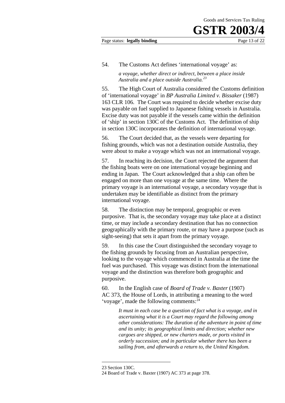#### Page status: **legally binding** Page 13 of 22

#### 54. The Customs Act defines 'international voyage' as:

*a voyage, whether direct or indirect, between a place inside Australia and a place outside Australia.<sup>23</sup>*

55. The High Court of Australia considered the Customs definition of 'international voyage' in *BP Australia Limited v. Bissaker* (1987) 163 CLR 106. The Court was required to decide whether excise duty was payable on fuel supplied to Japanese fishing vessels in Australia. Excise duty was not payable if the vessels came within the definition of 'ship' in section 130C of the Customs Act. The definition of ship in section 130C incorporates the definition of international voyage.

56. The Court decided that, as the vessels were departing for fishing grounds, which was not a destination outside Australia, they were about to make a voyage which was not an international voyage.

57. In reaching its decision, the Court rejected the argument that the fishing boats were on one international voyage beginning and ending in Japan. The Court acknowledged that a ship can often be engaged on more than one voyage at the same time. Where the primary voyage is an international voyage, a secondary voyage that is undertaken may be identifiable as distinct from the primary international voyage.

58. The distinction may be temporal, geographic or even purposive. That is, the secondary voyage may take place at a distinct time, or may include a secondary destination that has no connection geographically with the primary route, or may have a purpose (such as sight-seeing) that sets it apart from the primary voyage.

59. In this case the Court distinguished the secondary voyage to the fishing grounds by focusing from an Australian perspective, looking to the voyage which commenced in Australia at the time the fuel was purchased. This voyage was distinct from the international voyage and the distinction was therefore both geographic and purposive.

60. In the English case of *Board of Trade v. Baxter* (1907) AC 373, the House of Lords, in attributing a meaning to the word 'voyage', made the following comments:<sup>24</sup>

> *It must in each case be a question of fact what is a voyage, and in ascertaining what it is a Court may regard the following among other considerations: The duration of the adventure in point of time and its unity; its geographical limits and direction; whether new cargoes are shipped, or new charters made, or ports visited in orderly succession; and in particular whether there has been a sailing from, and afterwards a return to, the United Kingdom.*

1

<sup>23</sup> Section 130C.

<sup>24</sup> Board of Trade v. Baxter (1907) AC 373 at page 378.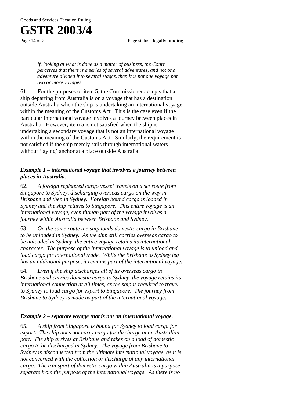Goods and Services Taxation Ruling

# **GSTR 2003/4**

Page 14 of 22 **Page status: legally binding** 

*If, looking at what is done as a matter of business, the Court perceives that there is a series of several adventures, and not one adventure divided into several stages, then it is not one voyage but two or more voyages…* 

61. For the purposes of item 5, the Commissioner accepts that a ship departing from Australia is on a voyage that has a destination outside Australia when the ship is undertaking an international voyage within the meaning of the Customs Act. This is the case even if the particular international voyage involves a journey between places in Australia. However, item 5 is not satisfied when the ship is undertaking a secondary voyage that is not an international voyage within the meaning of the Customs Act. Similarly, the requirement is not satisfied if the ship merely sails through international waters without 'laying' anchor at a place outside Australia.

### *Example 1 – international voyage that involves a journey between places in Australia.*

62. *A foreign registered cargo vessel travels on a set route from Singapore to Sydney, discharging overseas cargo on the way in Brisbane and then in Sydney. Foreign bound cargo is loaded in Sydney and the ship returns to Singapore. This entire voyage is an international voyage, even though part of the voyage involves a journey within Australia between Brisbane and Sydney*.

63. *On the same route the ship loads domestic cargo in Brisbane to be unloaded in Sydney. As the ship still carries overseas cargo to be unloaded in Sydney, the entire voyage retains its international character. The purpose of the international voyage is to unload and load cargo for international trade. While the Brisbane to Sydney leg has an additional purpose, it remains part of the international voyage.*

64. *Even if the ship discharges all of its overseas cargo in Brisbane and carries domestic cargo to Sydney, the voyage retains its international connection at all times, as the ship is required to travel to Sydney to load cargo for export to Singapore. The journey from Brisbane to Sydney is made as part of the international voyage*.

### *Example 2 – separate voyage that is not an international voyage.*

65. *A ship from Singapore is bound for Sydney to load cargo for export. The ship does not carry cargo for discharge at an Australian port. The ship arrives at Brisbane and takes on a load of domestic cargo to be discharged in Sydney. The voyage from Brisbane to Sydney is disconnected from the ultimate international voyage, as it is not concerned with the collection or discharge of any international cargo. The transport of domestic cargo within Australia is a purpose separate from the purpose of the international voyage. As there is no*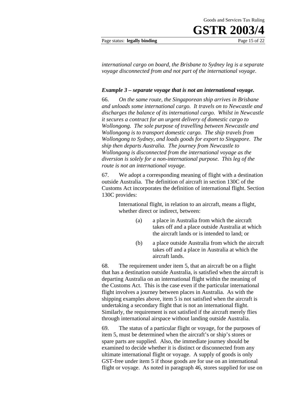Page status: **legally binding** Page 15 of 22

*international cargo on board, the Brisbane to Sydney leg is a separate voyage disconnected from and not part of the international voyage*.

#### *Example 3 – separate voyage that is not an international voyage.*

66. *On the same route, the Singaporean ship arrives in Brisbane and unloads some international cargo. It travels on to Newcastle and discharges the balance of its international cargo. Whilst in Newcastle it secures a contract for an urgent delivery of domestic cargo to Wollongong. The sole purpose of travelling between Newcastle and Wollongong is to transport domestic cargo. The ship travels from Wollongong to Sydney, and loads goods for export to Singapore. The ship then departs Australia. The journey from Newcastle to Wollongong is disconnected from the international voyage as the diversion is solely for a non-international purpose. This leg of the route is not an international voyage*.

67. We adopt a corresponding meaning of flight with a destination outside Australia. The definition of aircraft in section 130C of the Customs Act incorporates the definition of international flight. Section 130C provides:

> International flight, in relation to an aircraft, means a flight, whether direct or indirect, between:

- (a) a place in Australia from which the aircraft takes off and a place outside Australia at which the aircraft lands or is intended to land; or
- (b) a place outside Australia from which the aircraft takes off and a place in Australia at which the aircraft lands.

68. The requirement under item 5, that an aircraft be on a flight that has a destination outside Australia, is satisfied when the aircraft is departing Australia on an international flight within the meaning of the Customs Act. This is the case even if the particular international flight involves a journey between places in Australia. As with the shipping examples above, item 5 is not satisfied when the aircraft is undertaking a secondary flight that is not an international flight. Similarly, the requirement is not satisfied if the aircraft merely flies through international airspace without landing outside Australia.

69. The status of a particular flight or voyage, for the purposes of item 5, must be determined when the aircraft's or ship's stores or spare parts are supplied. Also, the immediate journey should be examined to decide whether it is distinct or disconnected from any ultimate international flight or voyage. A supply of goods is only GST-free under item 5 if those goods are for use on an international flight or voyage. As noted in paragraph 46, stores supplied for use on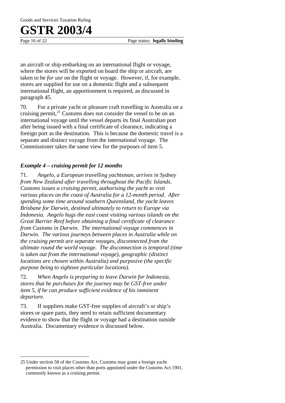$\overline{a}$ 

Page 16 of 22 Page status: **legally binding** 

an aircraft or ship embarking on an international flight or voyage, where the stores will be exported on board the ship or aircraft, are taken to be *for use* on the flight or voyage. However, if, for example, stores are supplied for use on a domestic flight and a subsequent international flight, an apportionment is required, as discussed in paragraph 45.

70. For a private yacht or pleasure craft travelling in Australia on a cruising permit, $^{25}$  Customs does not consider the vessel to be on an international voyage until the vessel departs its final Australian port after being issued with a final certificate of clearance, indicating a foreign port as the destination. This is because the domestic travel is a separate and distinct voyage from the international voyage. The Commissioner takes the same view for the purposes of item 5.

### *Example 4 – cruising permit for 12 months*

71. *Angelo, a European travelling yachtsman, arrives in Sydney from New Zealand after travelling throughout the Pacific Islands. Customs issues a cruising permit, authorising the yacht to visit various places on the coast of Australia for a 12-month period. After spending some time around southern Queensland, the yacht leaves Brisbane for Darwin, destined ultimately to return to Europe via Indonesia. Angelo hugs the east coast visiting various islands on the Great Barrier Reef before obtaining a final certificate of clearance from Customs in Darwin. The international voyage commences in Darwin. The various journeys between places in Australia while on the cruising permit are separate voyages, disconnected from the ultimate round the world voyage. The disconnection is temporal (time is taken out from the international voyage), geographic (distinct locations are chosen within Australia) and purposive (the specific purpose being to sightsee particular locations).*

72. *When Angelo is preparing to leave Darwin for Indonesia, stores that he purchases for the journey may be GST-free under item 5, if he can produce sufficient evidence of his imminent departure.*

73. If suppliers make GST-free supplies of aircraft's or ship's stores or spare parts, they need to retain sufficient documentary evidence to show that the flight or voyage had a destination outside Australia. Documentary evidence is discussed below.

<sup>25</sup> Under section 58 of the Customs Act, Customs may grant a foreign yacht permission to visit places other than ports appointed under the Customs Act 1901, commonly known as a cruising permit.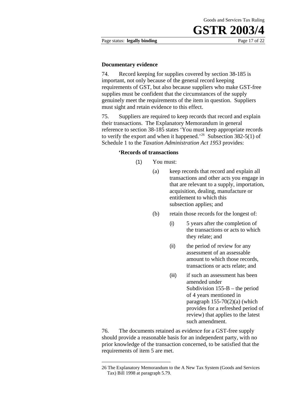Page status: **legally binding** Page 17 of 22

#### **Documentary evidence**

74. Record keeping for supplies covered by section 38-185 is important, not only because of the general record keeping requirements of GST, but also because suppliers who make GST-free supplies must be confident that the circumstances of the supply genuinely meet the requirements of the item in question. Suppliers must sight and retain evidence to this effect.

75. Suppliers are required to keep records that record and explain their transactions. The Explanatory Memorandum in general reference to section 38-185 states 'You must keep appropriate records to verify the export and when it happened.<sup>'26</sup> Subsection 382-5(1) of Schedule 1 to the *Taxation Administration Act 1953* provides:

#### **'Records of transactions**

- (1) You must:
	- (a) keep records that record and explain all transactions and other acts you engage in that are relevant to a supply, importation, acquisition, dealing, manufacture or entitlement to which this subsection applies; and
	- (b) retain those records for the longest of:
		- (i) 5 years after the completion of the transactions or acts to which they relate; and
		- (ii) the period of review for any assessment of an assessable amount to which those records, transactions or acts relate; and
		- (iii) if such an assessment has been amended under Subdivision 155-B – the period of 4 years mentioned in paragraph  $155-70(2)(a)$  (which provides for a refreshed period of review) that applies to the latest such amendment.

76. The documents retained as evidence for a GST-free supply should provide a reasonable basis for an independent party, with no prior knowledge of the transaction concerned, to be satisfied that the requirements of item 5 are met.

1

<sup>26</sup> The Explanatory Memorandum to the A New Tax System (Goods and Services Tax) Bill 1998 at paragraph 5.79.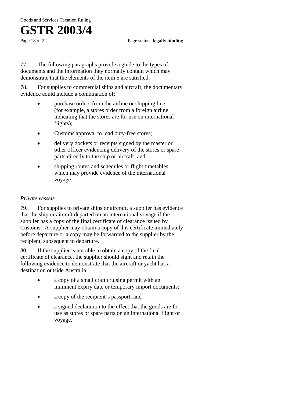Page 18 of 22 **Page status: legally binding** 

77. The following paragraphs provide a guide to the types of documents and the information they normally contain which may demonstrate that the elements of the item 5 are satisfied.

78. For supplies to commercial ships and aircraft, the documentary evidence could include a combination of:

- purchase orders from the airline or shipping line (for example, a stores order from a foreign airline indicating that the stores are for use on international flights);
- Customs approval to load duty-free stores;
- delivery dockets or receipts signed by the master or other officer evidencing delivery of the stores or spare parts directly to the ship or aircraft; and
- shipping routes and schedules or flight timetables, which may provide evidence of the international voyage.

### *Private vessels*

79. For supplies to private ships or aircraft, a supplier has evidence that the ship or aircraft departed on an international voyage if the supplier has a copy of the final certificate of clearance issued by Customs. A supplier may obtain a copy of this certificate immediately before departure or a copy may be forwarded to the supplier by the recipient, subsequent to departure.

80. If the supplier is not able to obtain a copy of the final certificate of clearance, the supplier should sight and retain the following evidence to demonstrate that the aircraft or yacht has a destination outside Australia:

- a copy of a small craft cruising permit with an imminent expiry date or temporary import documents;
- a copy of the recipient's passport; and
- a signed declaration to the effect that the goods are for use as stores or spare parts on an international flight or voyage.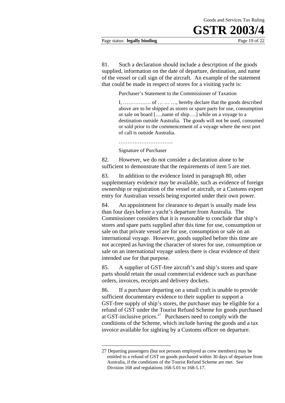#### Page status: **legally binding** Page 19 of 22

81. Such a declaration should include a description of the goods supplied, information on the date of departure, destination, and name of the vessel or call sign of the aircraft. An example of the statement that could be made in respect of stores for a visiting yacht is:

Purchaser's Statement to the Commissioner of Taxation

I, ……………. of … … …, hereby declare that the goods described above are to be shipped as stores or spare parts for use, consumption or sale on board [….name of ship….] while on a voyage to a destination outside Australia. The goods will not be used, consumed or sold prior to the commencement of a voyage where the next port of call is outside Australia.

………………………….

Signature of Purchaser

1

82. However, we do not consider a declaration alone to be sufficient to demonstrate that the requirements of item 5 are met.

83. In addition to the evidence listed in paragraph 80, other supplementary evidence may be available, such as evidence of foreign ownership or registration of the vessel or aircraft, or a Customs export entry for Australian vessels being exported under their own power.

84. An appointment for clearance to depart is usually made less than four days before a yacht's departure from Australia. The Commissioner considers that it is reasonable to conclude that ship's stores and spare parts supplied after this time for use, consumption or sale on that private vessel are for use, consumption or sale on an international voyage. However, goods supplied before this time are not accepted as having the character of stores for use, consumption or sale on an international voyage unless there is clear evidence of their intended use for that purpose.

85. A supplier of GST-free aircraft's and ship's stores and spare parts should retain the usual commercial evidence such as purchase orders, invoices, receipts and delivery dockets.

86. If a purchaser departing on a small craft is unable to provide sufficient documentary evidence to their supplier to support a GST-free supply of ship's stores, the purchaser may be eligible for a refund of GST under the Tourist Refund Scheme for goods purchased at GST-inclusive prices. $27$  Purchasers need to comply with the conditions of the Scheme, which include having the goods and a tax invoice available for sighting by a Customs officer on departure.

<sup>27</sup> Departing passengers (but not persons employed as crew members) may be entitled to a refund of GST on goods purchased within 30 days of departure from Australia, if the conditions of the Tourist Refund Scheme are met. See Division 168 and regulations 168-5.01 to 168-5.17.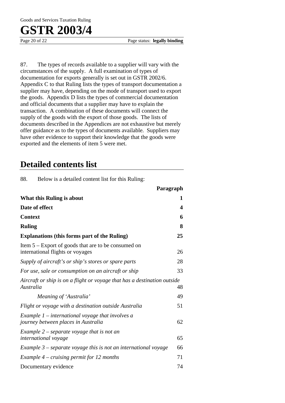Page 20 of 22 **Page status: legally binding** 

87. The types of records available to a supplier will vary with the circumstances of the supply. A full examination of types of documentation for exports generally is set out in GSTR 2002/6. Appendix C to that Ruling lists the types of transport documentation a supplier may have, depending on the mode of transport used to export the goods. Appendix D lists the types of commercial documentation and official documents that a supplier may have to explain the transaction. A combination of these documents will connect the supply of the goods with the export of those goods. The lists of documents described in the Appendices are not exhaustive but merely offer guidance as to the types of documents available. Suppliers may have other evidence to support their knowledge that the goods were exported and the elements of item 5 were met.

### **Detailed contents list**

88. Below is a detailed content list for this Ruling:

|                                                                                           | Paragraph |
|-------------------------------------------------------------------------------------------|-----------|
| What this Ruling is about                                                                 | 1         |
| Date of effect                                                                            | 4         |
| <b>Context</b>                                                                            | 6         |
| <b>Ruling</b>                                                                             | 8         |
| <b>Explanations (this forms part of the Ruling)</b>                                       | 25        |
| Item $5 -$ Export of goods that are to be consumed on<br>international flights or voyages | 26        |
| Supply of aircraft's or ship's stores or spare parts                                      | 28        |
| For use, sale or consumption on an aircraft or ship                                       | 33        |
| Aircraft or ship is on a flight or voyage that has a destination outside<br>Australia     | 48        |
| Meaning of 'Australia'                                                                    | 49        |
| Flight or voyage with a destination outside Australia                                     | 51        |
| Example $1$ – international voyage that involves a<br>journey between places in Australia | 62        |
| Example $2$ – separate voyage that is not an<br><i>international</i> voyage               | 65        |
| Example $3$ – separate voyage this is not an international voyage                         | 66        |
| Example $4$ – cruising permit for 12 months                                               | 71        |
| Documentary evidence                                                                      | 74        |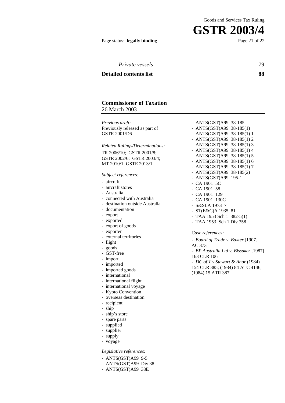#### Page status: **legally binding** Page 21 of 22

| <i>Private vessels</i>        | 79 |
|-------------------------------|----|
| <b>Detailed contents list</b> | 88 |
|                               |    |

### **Commissioner of Taxation** 26 March 2003

*Previous draft:*  Previously released as part of GSTR 2001/D6

#### *Related Rulings/Determinations:*

TR 2006/10; GSTR 2001/8; GSTR 2002/6; GSTR 2003/4; MT 2010/1; GSTE 2013/1

#### *Subject references:*

- aircraft

- aircraft stores
- Australia
- connected with Australia
- destination outside Australia
- documentation
- export
- exported
- export of goods
- exporter
- external territories
- flight
- goods
- GST-free
- import
- imported
- imported goods
- international
- international flight
- international voyage
- Kyoto Convention
- overseas destination
- recipient
- ship
- ship's store
- spare parts
- supplied
- supplier
- supply
- voyage
- *Legislative references:*
- ANTS(GST)A99 9-5
- ANTS(GST)A99 Div 38
- ANTS(GST)A99 38E

- ANTS(GST)A99 38-185 - ANTS(GST)A99 38-185(1) - ANTS(GST)A99 38-185(1) 1 - ANTS(GST)A99 38-185(1) 2 - ANTS(GST)A99 38-185(1) 3 - ANTS(GST)A99 38-185(1) 4 - ANTS(GST)A99 38-185(1) 5 - ANTS(GST)A99 38-185(1) 6 - ANTS(GST)A99 38-185(1) 7 - ANTS(GST)A99 38-185(2) - ANTS(GST)A99 195-1 - CA 1901 5C - CA 1901 58 - CA 1901 129 - CA 1901 130C - S&SLA 1973 7 - ST(E&C)A 1935 81 - TAA 1953 Sch 1 382-5(1) - TAA 1953 Sch 1 Div 358

#### *Case references:*

- *Board of Trade v. Baxter* [1907] AC 373 - *BP Australia Ltd v. Bissaker* [1987]

- 163 CLR 106
- *DC of T v Stewart & Anor* (1984) 154 CLR 385; (1984) 84 ATC 4146;
- (1984) 15 ATR 387